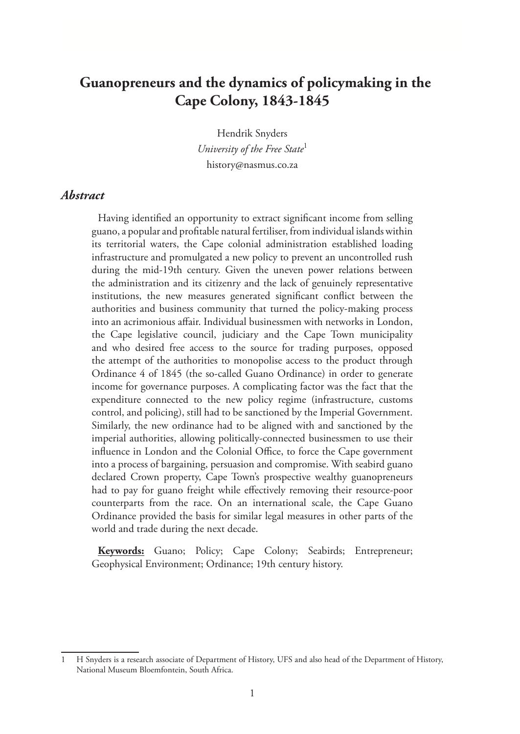# **Guanopreneurs and the dynamics of policymaking in the Cape Colony, 1843-1845**

Hendrik Snyders *University of the Free State*<sup>1</sup> history@nasmus.co.za

#### *Abstract*

Having identified an opportunity to extract significant income from selling guano, a popular and profitable natural fertiliser, from individual islands within its territorial waters, the Cape colonial administration established loading infrastructure and promulgated a new policy to prevent an uncontrolled rush during the mid-19th century. Given the uneven power relations between the administration and its citizenry and the lack of genuinely representative institutions, the new measures generated significant conflict between the authorities and business community that turned the policy-making process into an acrimonious affair. Individual businessmen with networks in London, the Cape legislative council, judiciary and the Cape Town municipality and who desired free access to the source for trading purposes, opposed the attempt of the authorities to monopolise access to the product through Ordinance 4 of 1845 (the so-called Guano Ordinance) in order to generate income for governance purposes. A complicating factor was the fact that the expenditure connected to the new policy regime (infrastructure, customs control, and policing), still had to be sanctioned by the Imperial Government. Similarly, the new ordinance had to be aligned with and sanctioned by the imperial authorities, allowing politically-connected businessmen to use their influence in London and the Colonial Office, to force the Cape government into a process of bargaining, persuasion and compromise. With seabird guano declared Crown property, Cape Town's prospective wealthy guanopreneurs had to pay for guano freight while effectively removing their resource-poor counterparts from the race. On an international scale, the Cape Guano Ordinance provided the basis for similar legal measures in other parts of the world and trade during the next decade.

**Keywords:** Guano; Policy; Cape Colony; Seabirds; Entrepreneur; Geophysical Environment; Ordinance; 19th century history.

<sup>1</sup> H Snyders is a research associate of Department of History, UFS and also head of the Department of History, National Museum Bloemfontein, South Africa.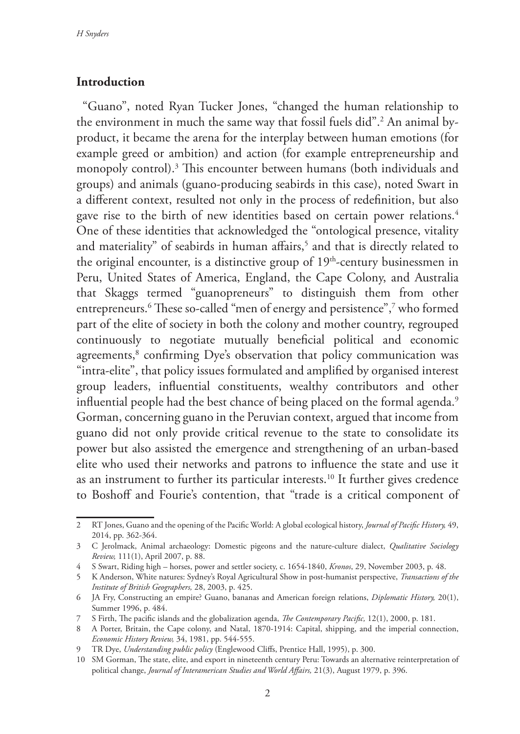### **Introduction**

"Guano", noted Ryan Tucker Jones, "changed the human relationship to the environment in much the same way that fossil fuels did".2 An animal byproduct, it became the arena for the interplay between human emotions (for example greed or ambition) and action (for example entrepreneurship and monopoly control).3 This encounter between humans (both individuals and groups) and animals (guano-producing seabirds in this case), noted Swart in a different context, resulted not only in the process of redefinition, but also gave rise to the birth of new identities based on certain power relations.<sup>4</sup> One of these identities that acknowledged the "ontological presence, vitality and materiality" of seabirds in human affairs, $5$  and that is directly related to the original encounter, is a distinctive group of  $19<sup>th</sup>$ -century businessmen in Peru, United States of America, England, the Cape Colony, and Australia that Skaggs termed "guanopreneurs" to distinguish them from other entrepreneurs.6 These so-called "men of energy and persistence",7 who formed part of the elite of society in both the colony and mother country, regrouped continuously to negotiate mutually beneficial political and economic agreements,<sup>8</sup> confirming Dye's observation that policy communication was "intra-elite", that policy issues formulated and amplified by organised interest group leaders, influential constituents, wealthy contributors and other influential people had the best chance of being placed on the formal agenda.<sup>9</sup> Gorman, concerning guano in the Peruvian context, argued that income from guano did not only provide critical revenue to the state to consolidate its power but also assisted the emergence and strengthening of an urban-based elite who used their networks and patrons to influence the state and use it as an instrument to further its particular interests.10 It further gives credence to Boshoff and Fourie's contention, that "trade is a critical component of

<sup>2</sup> RT Jones, Guano and the opening of the Pacific World: A global ecological history, *Journal of Pacific History,* 49, 2014, pp. 362-364.

<sup>3</sup> C Jerolmack, Animal archaeology: Domestic pigeons and the nature-culture dialect, *Qualitative Sociology Review,* 111(1), April 2007, p. 88.

<sup>4</sup> S Swart, Riding high – horses, power and settler society, c. 1654-1840, *Kronos*, 29, November 2003, p. 48.

<sup>5</sup> K Anderson, White natures: Sydney's Royal Agricultural Show in post-humanist perspective, *Transactions of the Institute of British Geographers,* 28, 2003, p. 425.

<sup>6</sup> JA Fry, Constructing an empire? Guano, bananas and American foreign relations, *Diplomatic History,* 20(1), Summer 1996, p. 484.

<sup>7</sup> S Firth, The pacific islands and the globalization agenda, *The Contemporary Pacific,* 12(1), 2000, p. 181.

<sup>8</sup> A Porter, Britain, the Cape colony, and Natal, 1870-1914: Capital, shipping, and the imperial connection, *Economic History Review,* 34, 1981, pp. 544-555.

<sup>9</sup> TR Dye, *Understanding public policy* (Englewood Cliffs, Prentice Hall, 1995), p. 300.

<sup>10</sup> SM Gorman, The state, elite, and export in nineteenth century Peru: Towards an alternative reinterpretation of political change, *Journal of Interamerican Studies and World Affairs,* 21(3), August 1979, p. 396.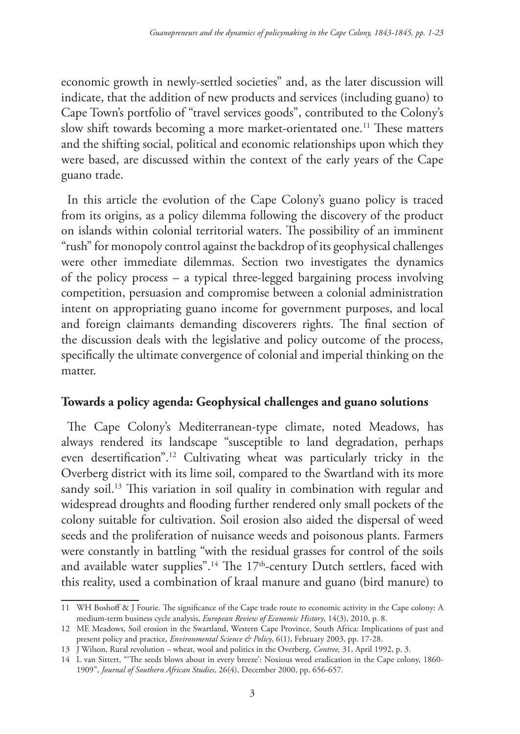economic growth in newly-settled societies" and, as the later discussion will indicate, that the addition of new products and services (including guano) to Cape Town's portfolio of "travel services goods", contributed to the Colony's slow shift towards becoming a more market-orientated one.<sup>11</sup> These matters and the shifting social, political and economic relationships upon which they were based, are discussed within the context of the early years of the Cape guano trade.

In this article the evolution of the Cape Colony's guano policy is traced from its origins, as a policy dilemma following the discovery of the product on islands within colonial territorial waters. The possibility of an imminent "rush" for monopoly control against the backdrop of its geophysical challenges were other immediate dilemmas. Section two investigates the dynamics of the policy process – a typical three-legged bargaining process involving competition, persuasion and compromise between a colonial administration intent on appropriating guano income for government purposes, and local and foreign claimants demanding discoverers rights. The final section of the discussion deals with the legislative and policy outcome of the process, specifically the ultimate convergence of colonial and imperial thinking on the matter.

## **Towards a policy agenda: Geophysical challenges and guano solutions**

The Cape Colony's Mediterranean-type climate, noted Meadows, has always rendered its landscape "susceptible to land degradation, perhaps even desertification".12 Cultivating wheat was particularly tricky in the Overberg district with its lime soil, compared to the Swartland with its more sandy soil.<sup>13</sup> This variation in soil quality in combination with regular and widespread droughts and flooding further rendered only small pockets of the colony suitable for cultivation. Soil erosion also aided the dispersal of weed seeds and the proliferation of nuisance weeds and poisonous plants. Farmers were constantly in battling "with the residual grasses for control of the soils and available water supplies".<sup>14</sup> The 17<sup>th</sup>-century Dutch settlers, faced with this reality, used a combination of kraal manure and guano (bird manure) to

<sup>11</sup> WH Boshoff & J Fourie. The significance of the Cape trade route to economic activity in the Cape colony: A medium-term business cycle analysis, *European Review of Economic History*, 14(3), 2010, p. 8.

<sup>12</sup> ME Meadows, Soil erosion in the Swartland, Western Cape Province, South Africa: Implications of past and present policy and practice, *Environmental Science & Policy*, 6(1), February 2003, pp. 17-28.

<sup>13</sup> J Wilson, Rural revolution – wheat, wool and politics in the Overberg, *Contree,* 31, April 1992, p. 3.

<sup>14</sup> L van Sittert, "'The seeds blows about in every breeze': Noxious weed eradication in the Cape colony, 1860- 1909", *Journal of Southern African Studies*, 26(4), December 2000, pp. 656-657.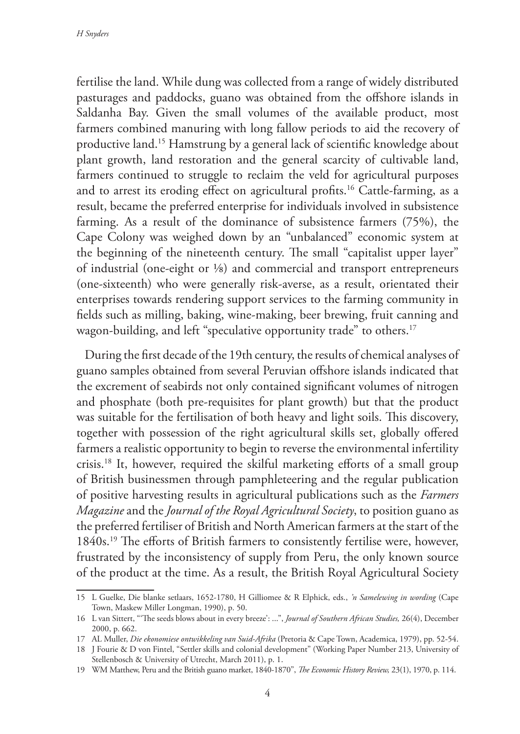fertilise the land. While dung was collected from a range of widely distributed pasturages and paddocks, guano was obtained from the offshore islands in Saldanha Bay. Given the small volumes of the available product, most farmers combined manuring with long fallow periods to aid the recovery of productive land.15 Hamstrung by a general lack of scientific knowledge about plant growth, land restoration and the general scarcity of cultivable land, farmers continued to struggle to reclaim the veld for agricultural purposes and to arrest its eroding effect on agricultural profits.16 Cattle-farming, as a result, became the preferred enterprise for individuals involved in subsistence farming. As a result of the dominance of subsistence farmers (75%), the Cape Colony was weighed down by an "unbalanced" economic system at the beginning of the nineteenth century. The small "capitalist upper layer" of industrial (one-eight or ⅛) and commercial and transport entrepreneurs (one-sixteenth) who were generally risk-averse, as a result, orientated their enterprises towards rendering support services to the farming community in fields such as milling, baking, wine-making, beer brewing, fruit canning and wagon-building, and left "speculative opportunity trade" to others.<sup>17</sup>

 During the first decade of the 19th century, the results of chemical analyses of guano samples obtained from several Peruvian offshore islands indicated that the excrement of seabirds not only contained significant volumes of nitrogen and phosphate (both pre-requisites for plant growth) but that the product was suitable for the fertilisation of both heavy and light soils. This discovery, together with possession of the right agricultural skills set, globally offered farmers a realistic opportunity to begin to reverse the environmental infertility crisis.18 It, however, required the skilful marketing efforts of a small group of British businessmen through pamphleteering and the regular publication of positive harvesting results in agricultural publications such as the *Farmers Magazine* and the *Journal of the Royal Agricultural Society*, to position guano as the preferred fertiliser of British and North American farmers at the start of the 1840s.19 The efforts of British farmers to consistently fertilise were, however, frustrated by the inconsistency of supply from Peru, the only known source of the product at the time. As a result, the British Royal Agricultural Society

<sup>15</sup> L Guelke, Die blanke setlaars, 1652-1780, H Gilliomee & R Elphick, eds., *'n Samelewing in wording* (Cape Town, Maskew Miller Longman, 1990), p. 50.

<sup>16</sup> L van Sittert, "'The seeds blows about in every breeze': ...", *Journal of Southern African Studies,* 26(4), December 2000, p. 662.

<sup>17</sup> AL Muller, *Die ekonomiese ontwikkeling van Suid-Afrika* (Pretoria & Cape Town, Academica, 1979), pp. 52-54.

<sup>18</sup> J Fourie & D von Fintel, "Settler skills and colonial development" (Working Paper Number 213, University of Stellenbosch & University of Utrecht, March 2011), p. 1.

<sup>19</sup> WM Matthew, Peru and the British guano market, 1840-1870", *The Economic History Review,* 23(1), 1970, p. 114.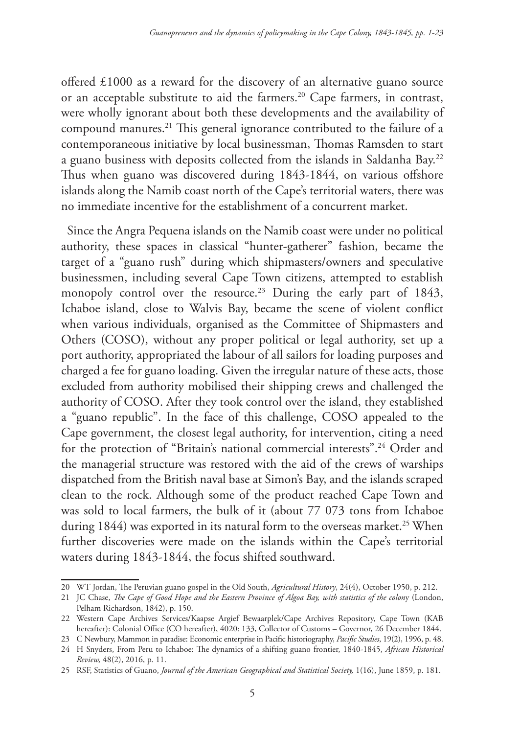offered £1000 as a reward for the discovery of an alternative guano source or an acceptable substitute to aid the farmers.<sup>20</sup> Cape farmers, in contrast, were wholly ignorant about both these developments and the availability of compound manures.21 This general ignorance contributed to the failure of a contemporaneous initiative by local businessman, Thomas Ramsden to start a guano business with deposits collected from the islands in Saldanha Bay.22 Thus when guano was discovered during 1843-1844, on various offshore islands along the Namib coast north of the Cape's territorial waters, there was no immediate incentive for the establishment of a concurrent market.

Since the Angra Pequena islands on the Namib coast were under no political authority, these spaces in classical "hunter-gatherer" fashion, became the target of a "guano rush" during which shipmasters/owners and speculative businessmen, including several Cape Town citizens, attempted to establish monopoly control over the resource.<sup>23</sup> During the early part of 1843, Ichaboe island, close to Walvis Bay, became the scene of violent conflict when various individuals, organised as the Committee of Shipmasters and Others (COSO), without any proper political or legal authority, set up a port authority, appropriated the labour of all sailors for loading purposes and charged a fee for guano loading. Given the irregular nature of these acts, those excluded from authority mobilised their shipping crews and challenged the authority of COSO. After they took control over the island, they established a "guano republic". In the face of this challenge, COSO appealed to the Cape government, the closest legal authority, for intervention, citing a need for the protection of "Britain's national commercial interests".24 Order and the managerial structure was restored with the aid of the crews of warships dispatched from the British naval base at Simon's Bay, and the islands scraped clean to the rock. Although some of the product reached Cape Town and was sold to local farmers, the bulk of it (about 77 073 tons from Ichaboe during 1844) was exported in its natural form to the overseas market.<sup>25</sup> When further discoveries were made on the islands within the Cape's territorial waters during 1843-1844, the focus shifted southward.

<sup>20</sup> WT Jordan, The Peruvian guano gospel in the Old South, *Agricultural History*, 24(4), October 1950, p. 212.

<sup>21</sup> JC Chase, *The Cape of Good Hope and the Eastern Province of Algoa Bay, with statistics of the colon*y (London, Pelham Richardson, 1842), p. 150.

<sup>22</sup> Western Cape Archives Services/Kaapse Argief Bewaarplek/Cape Archives Repository, Cape Town (KAB hereafter): Colonial Office (CO hereafter), 4020: 133, Collector of Customs – Governor, 26 December 1844.

<sup>23</sup> C Newbury, Mammon in paradise: Economic enterprise in Pacific historiography, *Pacific Studies*, 19(2), 1996, p. 48.

<sup>24</sup> H Snyders, From Peru to Ichaboe: The dynamics of a shifting guano frontier, 1840-1845, *African Historical Review,* 48(2), 2016, p. 11.

<sup>25</sup> RSF, Statistics of Guano, *Journal of the American Geographical and Statistical Society,* 1(16), June 1859, p. 181.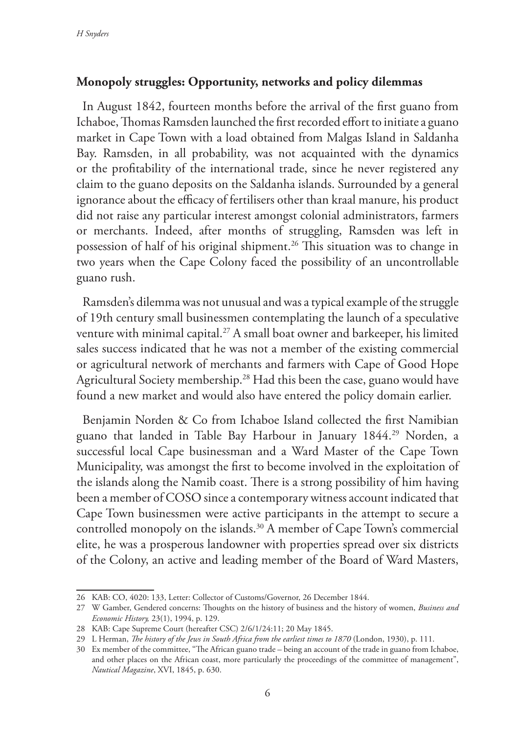## **Monopoly struggles: Opportunity, networks and policy dilemmas**

In August 1842, fourteen months before the arrival of the first guano from Ichaboe, Thomas Ramsden launched the first recorded effort to initiate a guano market in Cape Town with a load obtained from Malgas Island in Saldanha Bay. Ramsden, in all probability, was not acquainted with the dynamics or the profitability of the international trade, since he never registered any claim to the guano deposits on the Saldanha islands. Surrounded by a general ignorance about the efficacy of fertilisers other than kraal manure, his product did not raise any particular interest amongst colonial administrators, farmers or merchants. Indeed, after months of struggling, Ramsden was left in possession of half of his original shipment.<sup>26</sup> This situation was to change in two years when the Cape Colony faced the possibility of an uncontrollable guano rush.

Ramsden's dilemma was not unusual and was a typical example of the struggle of 19th century small businessmen contemplating the launch of a speculative venture with minimal capital.<sup>27</sup> A small boat owner and barkeeper, his limited sales success indicated that he was not a member of the existing commercial or agricultural network of merchants and farmers with Cape of Good Hope Agricultural Society membership.<sup>28</sup> Had this been the case, guano would have found a new market and would also have entered the policy domain earlier.

Benjamin Norden & Co from Ichaboe Island collected the first Namibian guano that landed in Table Bay Harbour in January 1844.<sup>29</sup> Norden, a successful local Cape businessman and a Ward Master of the Cape Town Municipality, was amongst the first to become involved in the exploitation of the islands along the Namib coast. There is a strong possibility of him having been a member of COSO since a contemporary witness account indicated that Cape Town businessmen were active participants in the attempt to secure a controlled monopoly on the islands.<sup>30</sup> A member of Cape Town's commercial elite, he was a prosperous landowner with properties spread over six districts of the Colony, an active and leading member of the Board of Ward Masters,

<sup>26</sup> KAB: CO, 4020: 133, Letter: Collector of Customs/Governor, 26 December 1844.

<sup>27</sup> W Gamber, Gendered concerns: Thoughts on the history of business and the history of women, *Business and Economic History,* 23(1), 1994, p. 129.

<sup>28</sup> KAB: Cape Supreme Court (hereafter CSC) 2/6/1/24:11; 20 May 1845.

<sup>29</sup> L Herman, *The history of the Jews in South Africa from the earliest times to 1870* (London, 1930), p. 111.

<sup>30</sup> Ex member of the committee, "The African guano trade – being an account of the trade in guano from Ichaboe, and other places on the African coast, more particularly the proceedings of the committee of management", *Nautical Magazine*, XVI, 1845, p. 630.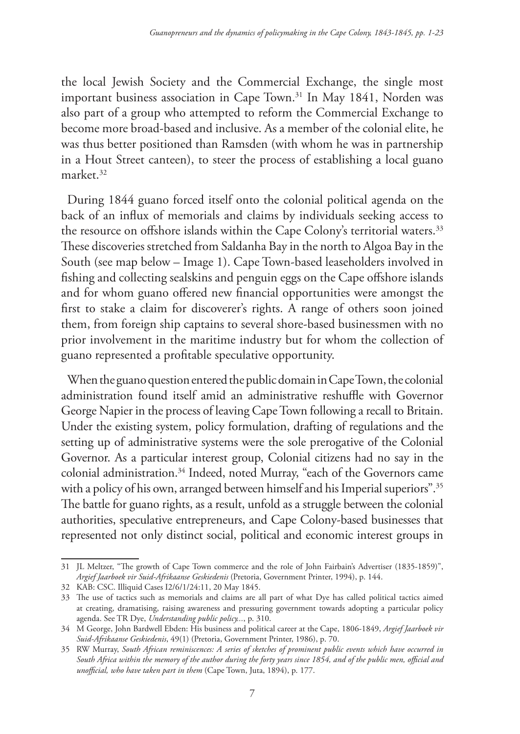the local Jewish Society and the Commercial Exchange, the single most important business association in Cape Town.<sup>31</sup> In May 1841, Norden was also part of a group who attempted to reform the Commercial Exchange to become more broad-based and inclusive. As a member of the colonial elite, he was thus better positioned than Ramsden (with whom he was in partnership in a Hout Street canteen), to steer the process of establishing a local guano market.32

During 1844 guano forced itself onto the colonial political agenda on the back of an influx of memorials and claims by individuals seeking access to the resource on offshore islands within the Cape Colony's territorial waters.<sup>33</sup> These discoveries stretched from Saldanha Bay in the north to Algoa Bay in the South (see map below – Image 1). Cape Town-based leaseholders involved in fishing and collecting sealskins and penguin eggs on the Cape offshore islands and for whom guano offered new financial opportunities were amongst the first to stake a claim for discoverer's rights. A range of others soon joined them, from foreign ship captains to several shore-based businessmen with no prior involvement in the maritime industry but for whom the collection of guano represented a profitable speculative opportunity.

When the guano question entered the public domain in Cape Town, the colonial administration found itself amid an administrative reshuffle with Governor George Napier in the process of leaving Cape Town following a recall to Britain. Under the existing system, policy formulation, drafting of regulations and the setting up of administrative systems were the sole prerogative of the Colonial Governor. As a particular interest group, Colonial citizens had no say in the colonial administration.<sup>34</sup> Indeed, noted Murray, "each of the Governors came with a policy of his own, arranged between himself and his Imperial superiors".<sup>35</sup> The battle for guano rights, as a result, unfold as a struggle between the colonial authorities, speculative entrepreneurs, and Cape Colony-based businesses that represented not only distinct social, political and economic interest groups in

<sup>31</sup> JL Meltzer, "The growth of Cape Town commerce and the role of John Fairbain's Advertiser (1835-1859)", *Argief Jaarboek vir Suid-Afrikaanse Geskiedenis* (Pretoria, Government Printer, 1994), p. 144.

<sup>32</sup> KAB: CSC. Illiquid Cases I2/6/1/24:11, 20 May 1845.

<sup>33</sup> The use of tactics such as memorials and claims are all part of what Dye has called political tactics aimed at creating, dramatising, raising awareness and pressuring government towards adopting a particular policy agenda. See TR Dye, *Understanding public policy...*, p. 310.

<sup>34</sup> M George, John Bardwell Ebden: His business and political career at the Cape, 1806-1849, *Argief Jaarboek vir Suid-Afrikaanse Geskiedenis*, 49(1) (Pretoria, Government Printer, 1986), p. 70.

<sup>35</sup> RW Murray, *South African reminiscences: A series of sketches of prominent public events which have occurred in South Africa within the memory of the author during the forty years since 1854, and of the public men, official and unofficial, who have taken part in them* (Cape Town, Juta, 1894), p. 177.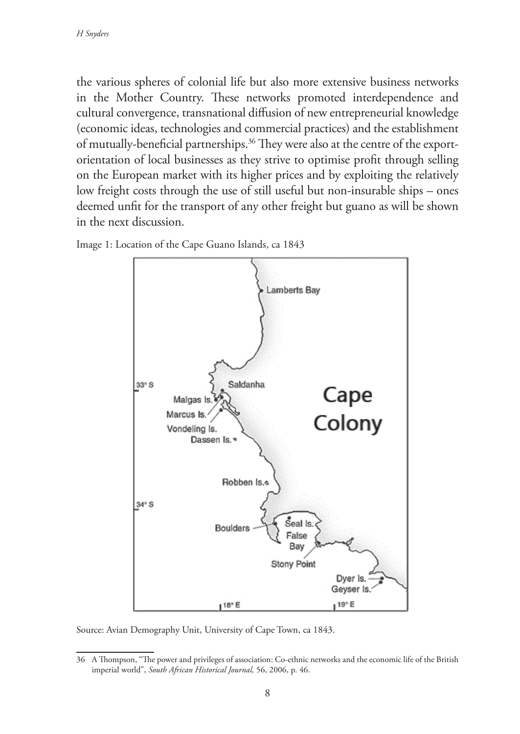the various spheres of colonial life but also more extensive business networks in the Mother Country. These networks promoted interdependence and cultural convergence, transnational diffusion of new entrepreneurial knowledge (economic ideas, technologies and commercial practices) and the establishment of mutually-beneficial partnerships.36 They were also at the centre of the exportorientation of local businesses as they strive to optimise profit through selling on the European market with its higher prices and by exploiting the relatively low freight costs through the use of still useful but non-insurable ships – ones deemed unfit for the transport of any other freight but guano as will be shown in the next discussion.



Image 1: Location of the Cape Guano Islands, ca 1843

Source: Avian Demography Unit, University of Cape Town, ca 1843.

<sup>36</sup> A Thompson, "The power and privileges of association: Co-ethnic networks and the economic life of the British imperial world", *South African Historical Journal,* 56, 2006, p. 46.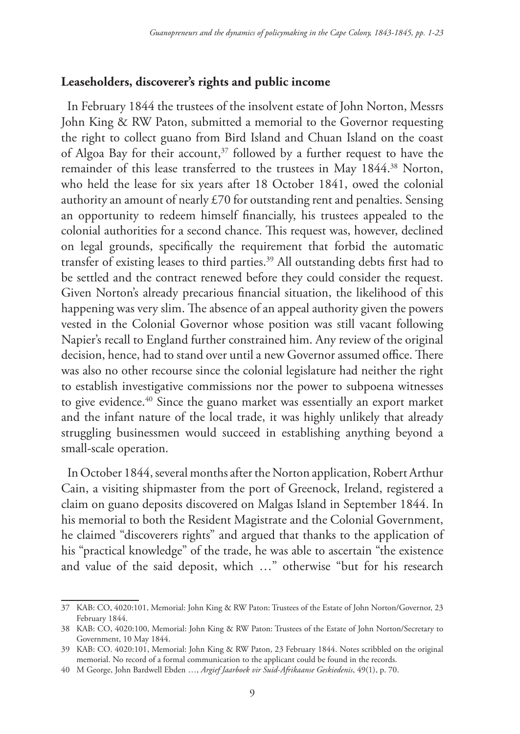### **Leaseholders, discoverer's rights and public income**

In February 1844 the trustees of the insolvent estate of John Norton, Messrs John King & RW Paton, submitted a memorial to the Governor requesting the right to collect guano from Bird Island and Chuan Island on the coast of Algoa Bay for their account,<sup>37</sup> followed by a further request to have the remainder of this lease transferred to the trustees in May 1844.<sup>38</sup> Norton, who held the lease for six years after 18 October 1841, owed the colonial authority an amount of nearly £70 for outstanding rent and penalties. Sensing an opportunity to redeem himself financially, his trustees appealed to the colonial authorities for a second chance. This request was, however, declined on legal grounds, specifically the requirement that forbid the automatic transfer of existing leases to third parties.39 All outstanding debts first had to be settled and the contract renewed before they could consider the request. Given Norton's already precarious financial situation, the likelihood of this happening was very slim. The absence of an appeal authority given the powers vested in the Colonial Governor whose position was still vacant following Napier's recall to England further constrained him. Any review of the original decision, hence, had to stand over until a new Governor assumed office. There was also no other recourse since the colonial legislature had neither the right to establish investigative commissions nor the power to subpoena witnesses to give evidence.40 Since the guano market was essentially an export market and the infant nature of the local trade, it was highly unlikely that already struggling businessmen would succeed in establishing anything beyond a small-scale operation.

In October 1844, several months after the Norton application, Robert Arthur Cain, a visiting shipmaster from the port of Greenock, Ireland, registered a claim on guano deposits discovered on Malgas Island in September 1844. In his memorial to both the Resident Magistrate and the Colonial Government, he claimed "discoverers rights" and argued that thanks to the application of his "practical knowledge" of the trade, he was able to ascertain "the existence and value of the said deposit, which …" otherwise "but for his research

<sup>37</sup> KAB: CO, 4020:101, Memorial: John King & RW Paton: Trustees of the Estate of John Norton/Governor, 23 February 1844.

<sup>38</sup> KAB: CO, 4020:100, Memorial: John King & RW Paton: Trustees of the Estate of John Norton/Secretary to Government, 10 May 1844.

<sup>39</sup> KAB: CO. 4020:101, Memorial: John King & RW Paton, 23 February 1844. Notes scribbled on the original memorial. No record of a formal communication to the applicant could be found in the records.

<sup>40</sup> M George, John Bardwell Ebden …, *Argief Jaarboek vir Suid-Afrikaanse Geskiedenis*, 49(1), p. 70.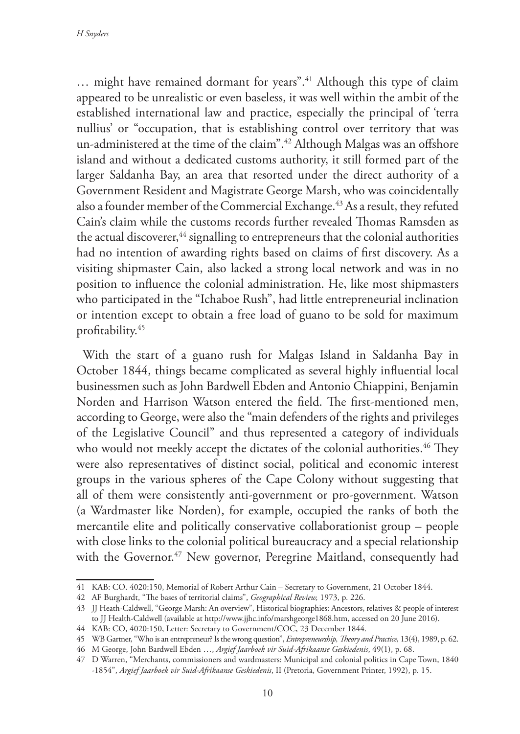… might have remained dormant for years".41 Although this type of claim appeared to be unrealistic or even baseless, it was well within the ambit of the established international law and practice, especially the principal of 'terra nullius' or "occupation, that is establishing control over territory that was un-administered at the time of the claim".<sup>42</sup> Although Malgas was an offshore island and without a dedicated customs authority, it still formed part of the larger Saldanha Bay, an area that resorted under the direct authority of a Government Resident and Magistrate George Marsh, who was coincidentally also a founder member of the Commercial Exchange.<sup>43</sup> As a result, they refuted Cain's claim while the customs records further revealed Thomas Ramsden as the actual discoverer, $44$  signalling to entrepreneurs that the colonial authorities had no intention of awarding rights based on claims of first discovery. As a visiting shipmaster Cain, also lacked a strong local network and was in no position to influence the colonial administration. He, like most shipmasters who participated in the "Ichaboe Rush", had little entrepreneurial inclination or intention except to obtain a free load of guano to be sold for maximum profitability.45

With the start of a guano rush for Malgas Island in Saldanha Bay in October 1844, things became complicated as several highly influential local businessmen such as John Bardwell Ebden and Antonio Chiappini, Benjamin Norden and Harrison Watson entered the field. The first-mentioned men, according to George, were also the "main defenders of the rights and privileges of the Legislative Council" and thus represented a category of individuals who would not meekly accept the dictates of the colonial authorities.<sup>46</sup> They were also representatives of distinct social, political and economic interest groups in the various spheres of the Cape Colony without suggesting that all of them were consistently anti-government or pro-government. Watson (a Wardmaster like Norden), for example, occupied the ranks of both the mercantile elite and politically conservative collaborationist group – people with close links to the colonial political bureaucracy and a special relationship with the Governor.<sup>47</sup> New governor, Peregrine Maitland, consequently had

<sup>41</sup> KAB: CO. 4020:150, Memorial of Robert Arthur Cain – Secretary to Government, 21 October 1844.

<sup>42</sup> AF Burghardt, "The bases of territorial claims", *Geographical Review,* 1973, p. 226.

<sup>43</sup> JJ Heath-Caldwell, "George Marsh: An overview", Historical biographies: Ancestors, relatives & people of interest to JJ Health-Caldwell (available at http://www.jjhc.info/marshgeorge1868.htm, accessed on 20 June 2016).

<sup>44</sup> KAB: CO, 4020:150, Letter: Secretary to Government/COC, 23 December 1844.

<sup>45</sup> WB Gartner, "Who is an entrepreneur? Is the wrong question", *Entrepreneurship, Theory and Practice,* 13(4), 1989, p. 62.

<sup>46</sup> M George, John Bardwell Ebden …, *Argief Jaarboek vir Suid-Afrikaanse Geskiedenis*, 49(1), p. 68.

<sup>47</sup> D Warren, "Merchants, commissioners and wardmasters: Municipal and colonial politics in Cape Town, 1840 -1854", *Argief Jaarboek vir Suid-Afrikaanse Geskiedenis*, II (Pretoria, Government Printer, 1992), p. 15.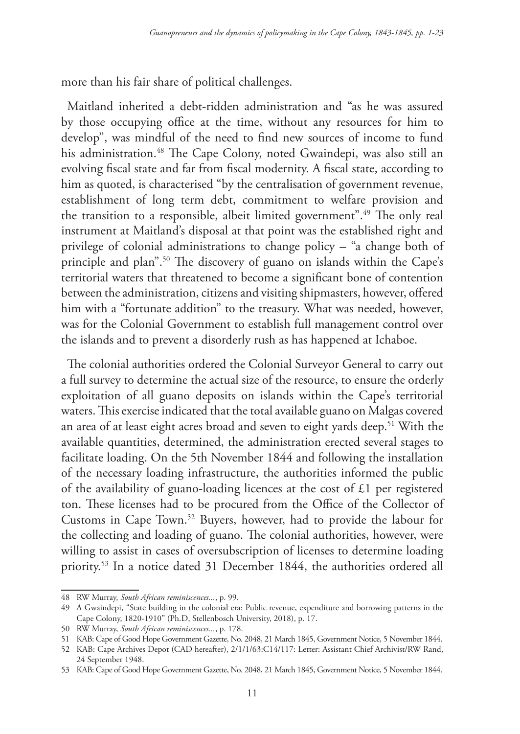more than his fair share of political challenges.

Maitland inherited a debt-ridden administration and "as he was assured by those occupying office at the time, without any resources for him to develop", was mindful of the need to find new sources of income to fund his administration.<sup>48</sup> The Cape Colony, noted Gwaindepi, was also still an evolving fiscal state and far from fiscal modernity. A fiscal state, according to him as quoted, is characterised "by the centralisation of government revenue, establishment of long term debt, commitment to welfare provision and the transition to a responsible, albeit limited government".49 The only real instrument at Maitland's disposal at that point was the established right and privilege of colonial administrations to change policy – "a change both of principle and plan".50 The discovery of guano on islands within the Cape's territorial waters that threatened to become a significant bone of contention between the administration, citizens and visiting shipmasters, however, offered him with a "fortunate addition" to the treasury. What was needed, however, was for the Colonial Government to establish full management control over the islands and to prevent a disorderly rush as has happened at Ichaboe.

The colonial authorities ordered the Colonial Surveyor General to carry out a full survey to determine the actual size of the resource, to ensure the orderly exploitation of all guano deposits on islands within the Cape's territorial waters. This exercise indicated that the total available guano on Malgas covered an area of at least eight acres broad and seven to eight yards deep.<sup>51</sup> With the available quantities, determined, the administration erected several stages to facilitate loading. On the 5th November 1844 and following the installation of the necessary loading infrastructure, the authorities informed the public of the availability of guano-loading licences at the cost of £1 per registered ton. These licenses had to be procured from the Office of the Collector of Customs in Cape Town.52 Buyers, however, had to provide the labour for the collecting and loading of guano. The colonial authorities, however, were willing to assist in cases of oversubscription of licenses to determine loading priority.53 In a notice dated 31 December 1844, the authorities ordered all

<sup>48</sup> RW Murray, *South African reminiscences...*, p. 99.

<sup>49</sup> A Gwaindepi, "State building in the colonial era: Public revenue, expenditure and borrowing patterns in the Cape Colony, 1820-1910" (Ph.D, Stellenbosch University, 2018), p. 17.

<sup>50</sup> RW Murray, *South African reminiscences...*, p. 178.

<sup>51</sup> KAB: Cape of Good Hope Government Gazette, No. 2048, 21 March 1845, Government Notice, 5 November 1844.

<sup>52</sup> KAB: Cape Archives Depot (CAD hereafter), 2/1/1/63:C14/117: Letter: Assistant Chief Archivist/RW Rand, 24 September 1948.

<sup>53</sup> KAB: Cape of Good Hope Government Gazette, No. 2048, 21 March 1845, Government Notice, 5 November 1844.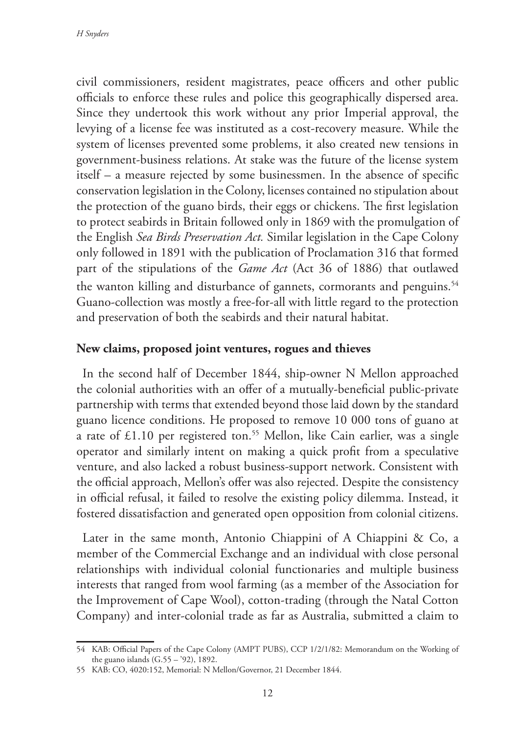civil commissioners, resident magistrates, peace officers and other public officials to enforce these rules and police this geographically dispersed area. Since they undertook this work without any prior Imperial approval, the levying of a license fee was instituted as a cost-recovery measure. While the system of licenses prevented some problems, it also created new tensions in government-business relations. At stake was the future of the license system itself – a measure rejected by some businessmen. In the absence of specific conservation legislation in the Colony, licenses contained no stipulation about the protection of the guano birds, their eggs or chickens. The first legislation to protect seabirds in Britain followed only in 1869 with the promulgation of the English *Sea Birds Preservation Act.* Similar legislation in the Cape Colony only followed in 1891 with the publication of Proclamation 316 that formed part of the stipulations of the *Game Act* (Act 36 of 1886) that outlawed the wanton killing and disturbance of gannets, cormorants and penguins.<sup>54</sup> Guano-collection was mostly a free-for-all with little regard to the protection and preservation of both the seabirds and their natural habitat.

## **New claims, proposed joint ventures, rogues and thieves**

In the second half of December 1844, ship-owner N Mellon approached the colonial authorities with an offer of a mutually-beneficial public-private partnership with terms that extended beyond those laid down by the standard guano licence conditions. He proposed to remove 10 000 tons of guano at a rate of  $£1.10$  per registered ton.<sup>55</sup> Mellon, like Cain earlier, was a single operator and similarly intent on making a quick profit from a speculative venture, and also lacked a robust business-support network. Consistent with the official approach, Mellon's offer was also rejected. Despite the consistency in official refusal, it failed to resolve the existing policy dilemma. Instead, it fostered dissatisfaction and generated open opposition from colonial citizens.

Later in the same month, Antonio Chiappini of A Chiappini & Co, a member of the Commercial Exchange and an individual with close personal relationships with individual colonial functionaries and multiple business interests that ranged from wool farming (as a member of the Association for the Improvement of Cape Wool), cotton-trading (through the Natal Cotton Company) and inter-colonial trade as far as Australia, submitted a claim to

<sup>54</sup> KAB: Official Papers of the Cape Colony (AMPT PUBS), CCP 1/2/1/82: Memorandum on the Working of the guano islands (G.55 – '92), 1892.

<sup>55</sup> KAB: CO, 4020:152, Memorial: N Mellon/Governor, 21 December 1844.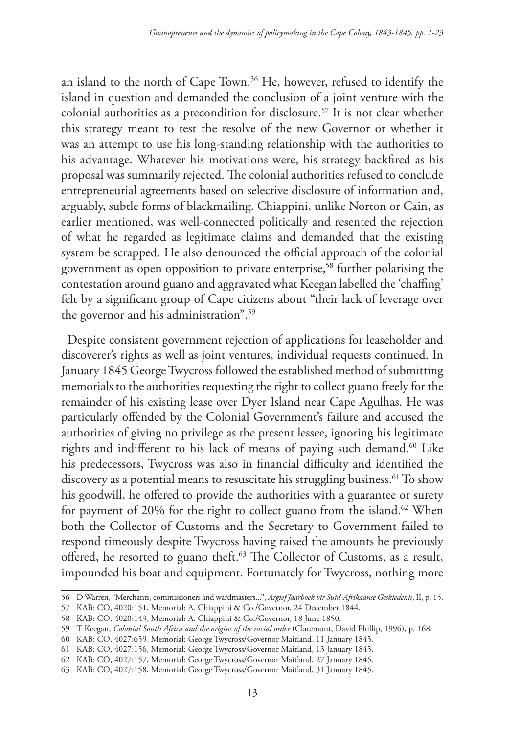an island to the north of Cape Town.<sup>56</sup> He, however, refused to identify the island in question and demanded the conclusion of a joint venture with the colonial authorities as a precondition for disclosure.57 It is not clear whether this strategy meant to test the resolve of the new Governor or whether it was an attempt to use his long-standing relationship with the authorities to his advantage. Whatever his motivations were, his strategy backfired as his proposal was summarily rejected. The colonial authorities refused to conclude entrepreneurial agreements based on selective disclosure of information and, arguably, subtle forms of blackmailing. Chiappini, unlike Norton or Cain, as earlier mentioned, was well-connected politically and resented the rejection of what he regarded as legitimate claims and demanded that the existing system be scrapped. He also denounced the official approach of the colonial government as open opposition to private enterprise,<sup>58</sup> further polarising the contestation around guano and aggravated what Keegan labelled the 'chaffing' felt by a significant group of Cape citizens about "their lack of leverage over the governor and his administration".59

Despite consistent government rejection of applications for leaseholder and discoverer's rights as well as joint ventures, individual requests continued. In January 1845 George Twycross followed the established method of submitting memorials to the authorities requesting the right to collect guano freely for the remainder of his existing lease over Dyer Island near Cape Agulhas. He was particularly offended by the Colonial Government's failure and accused the authorities of giving no privilege as the present lessee, ignoring his legitimate rights and indifferent to his lack of means of paying such demand.<sup>60</sup> Like his predecessors, Twycross was also in financial difficulty and identified the discovery as a potential means to resuscitate his struggling business.<sup>61</sup> To show his goodwill, he offered to provide the authorities with a guarantee or surety for payment of 20% for the right to collect guano from the island.<sup>62</sup> When both the Collector of Customs and the Secretary to Government failed to respond timeously despite Twycross having raised the amounts he previously offered, he resorted to guano theft.<sup>63</sup> The Collector of Customs, as a result, impounded his boat and equipment. Fortunately for Twycross, nothing more

<sup>56</sup> D Warren, "Merchants, commissioners and wardmasters...", *Argief Jaarboek vir Suid-Afrikaanse Geskiedenis*, II, p. 15.

<sup>57</sup> KAB: CO, 4020:151, Memorial: A. Chiappini & Co./Governor, 24 December 1844.

<sup>58</sup> KAB: CO, 4020:143, Memorial: A. Chiappini & Co./Governor, 18 June 1850.

<sup>59</sup> T Keegan, *Colonial South Africa and the origins of the racial order* (Claremont, David Phillip, 1996), p. 168.

<sup>60</sup> KAB: CO, 4027:659, Memorial: George Twycross/Governor Maitland, 11 January 1845.

<sup>61</sup> KAB: CO, 4027:156, Memorial: George Twycross/Governor Maitland, 13 January 1845.

<sup>62</sup> KAB: CO, 4027:157, Memorial: George Twycross/Governor Maitland, 27 January 1845.

<sup>63</sup> KAB: CO, 4027:158, Memorial: George Twycross/Governor Maitland, 31 January 1845.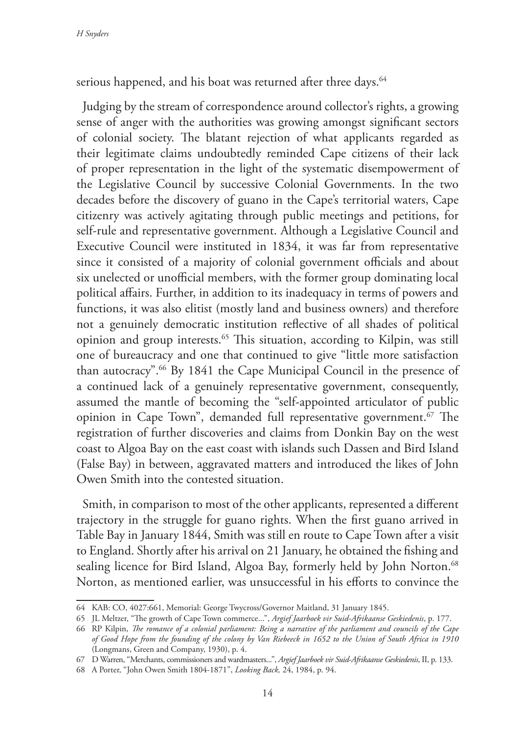serious happened, and his boat was returned after three days.<sup>64</sup>

Judging by the stream of correspondence around collector's rights, a growing sense of anger with the authorities was growing amongst significant sectors of colonial society. The blatant rejection of what applicants regarded as their legitimate claims undoubtedly reminded Cape citizens of their lack of proper representation in the light of the systematic disempowerment of the Legislative Council by successive Colonial Governments. In the two decades before the discovery of guano in the Cape's territorial waters, Cape citizenry was actively agitating through public meetings and petitions, for self-rule and representative government. Although a Legislative Council and Executive Council were instituted in 1834, it was far from representative since it consisted of a majority of colonial government officials and about six unelected or unofficial members, with the former group dominating local political affairs. Further, in addition to its inadequacy in terms of powers and functions, it was also elitist (mostly land and business owners) and therefore not a genuinely democratic institution reflective of all shades of political opinion and group interests.65 This situation, according to Kilpin, was still one of bureaucracy and one that continued to give "little more satisfaction than autocracy".66 By 1841 the Cape Municipal Council in the presence of a continued lack of a genuinely representative government, consequently, assumed the mantle of becoming the "self-appointed articulator of public opinion in Cape Town", demanded full representative government.<sup>67</sup> The registration of further discoveries and claims from Donkin Bay on the west coast to Algoa Bay on the east coast with islands such Dassen and Bird Island (False Bay) in between, aggravated matters and introduced the likes of John Owen Smith into the contested situation.

Smith, in comparison to most of the other applicants, represented a different trajectory in the struggle for guano rights. When the first guano arrived in Table Bay in January 1844, Smith was still en route to Cape Town after a visit to England. Shortly after his arrival on 21 January, he obtained the fishing and sealing licence for Bird Island, Algoa Bay, formerly held by John Norton.<sup>68</sup> Norton, as mentioned earlier, was unsuccessful in his efforts to convince the

<sup>64</sup> KAB: CO, 4027:661, Memorial: George Twycross/Governor Maitland, 31 January 1845.

<sup>65</sup> JL Meltzer, "The growth of Cape Town commerce...", *Argief Jaarboek vir Suid-Afrikaanse Geskiedenis*, p. 177.

<sup>66</sup> RP Kilpin, *The romance of a colonial parliament: Being a narrative of the parliament and councils of the Cape of Good Hope from the founding of the colony by Van Riebeeck in 1652 to the Union of South Africa in 1910* (Longmans, Green and Company, 1930), p. 4.

<sup>67</sup> D Warren, "Merchants, commissioners and wardmasters...", *Argief Jaarboek vir Suid-Afrikaanse Geskiedenis*, II, p. 133.

<sup>68</sup> A Porter, "John Owen Smith 1804-1871", *Looking Back,* 24, 1984, p. 94.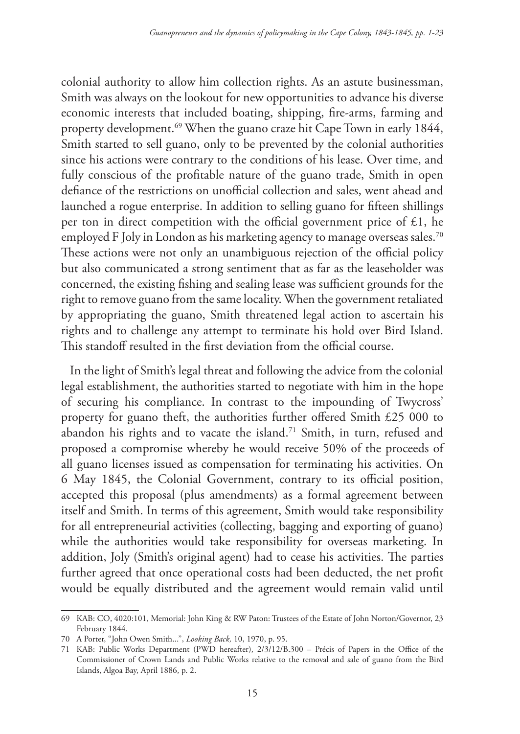colonial authority to allow him collection rights. As an astute businessman, Smith was always on the lookout for new opportunities to advance his diverse economic interests that included boating, shipping, fire-arms, farming and property development.69 When the guano craze hit Cape Town in early 1844, Smith started to sell guano, only to be prevented by the colonial authorities since his actions were contrary to the conditions of his lease. Over time, and fully conscious of the profitable nature of the guano trade, Smith in open defiance of the restrictions on unofficial collection and sales, went ahead and launched a rogue enterprise. In addition to selling guano for fifteen shillings per ton in direct competition with the official government price of  $£1$ , he employed F Joly in London as his marketing agency to manage overseas sales.<sup>70</sup> These actions were not only an unambiguous rejection of the official policy but also communicated a strong sentiment that as far as the leaseholder was concerned, the existing fishing and sealing lease was sufficient grounds for the right to remove guano from the same locality. When the government retaliated by appropriating the guano, Smith threatened legal action to ascertain his rights and to challenge any attempt to terminate his hold over Bird Island. This standoff resulted in the first deviation from the official course.

 In the light of Smith's legal threat and following the advice from the colonial legal establishment, the authorities started to negotiate with him in the hope of securing his compliance. In contrast to the impounding of Twycross' property for guano theft, the authorities further offered Smith £25 000 to abandon his rights and to vacate the island.<sup>71</sup> Smith, in turn, refused and proposed a compromise whereby he would receive 50% of the proceeds of all guano licenses issued as compensation for terminating his activities. On 6 May 1845, the Colonial Government, contrary to its official position, accepted this proposal (plus amendments) as a formal agreement between itself and Smith. In terms of this agreement, Smith would take responsibility for all entrepreneurial activities (collecting, bagging and exporting of guano) while the authorities would take responsibility for overseas marketing. In addition, Joly (Smith's original agent) had to cease his activities. The parties further agreed that once operational costs had been deducted, the net profit would be equally distributed and the agreement would remain valid until

<sup>69</sup> KAB: CO, 4020:101, Memorial: John King & RW Paton: Trustees of the Estate of John Norton/Governor, 23 February 1844.

<sup>70</sup> A Porter, "John Owen Smith...", *Looking Back,* 10, 1970, p. 95.

<sup>71</sup> KAB: Public Works Department (PWD hereafter), 2/3/12/B.300 – Précis of Papers in the Office of the Commissioner of Crown Lands and Public Works relative to the removal and sale of guano from the Bird Islands, Algoa Bay, April 1886, p. 2.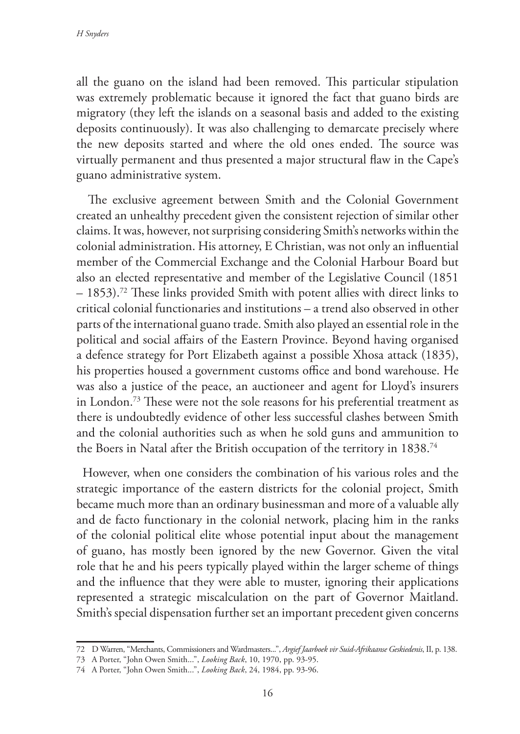all the guano on the island had been removed. This particular stipulation was extremely problematic because it ignored the fact that guano birds are migratory (they left the islands on a seasonal basis and added to the existing deposits continuously). It was also challenging to demarcate precisely where the new deposits started and where the old ones ended. The source was virtually permanent and thus presented a major structural flaw in the Cape's guano administrative system.

 The exclusive agreement between Smith and the Colonial Government created an unhealthy precedent given the consistent rejection of similar other claims. It was, however, not surprising considering Smith's networks within the colonial administration. His attorney, E Christian, was not only an influential member of the Commercial Exchange and the Colonial Harbour Board but also an elected representative and member of the Legislative Council (1851 – 1853).72 These links provided Smith with potent allies with direct links to critical colonial functionaries and institutions – a trend also observed in other parts of the international guano trade. Smith also played an essential role in the political and social affairs of the Eastern Province. Beyond having organised a defence strategy for Port Elizabeth against a possible Xhosa attack (1835), his properties housed a government customs office and bond warehouse. He was also a justice of the peace, an auctioneer and agent for Lloyd's insurers in London.73 These were not the sole reasons for his preferential treatment as there is undoubtedly evidence of other less successful clashes between Smith and the colonial authorities such as when he sold guns and ammunition to the Boers in Natal after the British occupation of the territory in 1838.<sup>74</sup>

However, when one considers the combination of his various roles and the strategic importance of the eastern districts for the colonial project, Smith became much more than an ordinary businessman and more of a valuable ally and de facto functionary in the colonial network, placing him in the ranks of the colonial political elite whose potential input about the management of guano, has mostly been ignored by the new Governor. Given the vital role that he and his peers typically played within the larger scheme of things and the influence that they were able to muster, ignoring their applications represented a strategic miscalculation on the part of Governor Maitland. Smith's special dispensation further set an important precedent given concerns

<sup>72</sup> D Warren, "Merchants, Commissioners and Wardmasters...", *Argief Jaarboek vir Suid-Afrikaanse Geskiedenis*, II, p. 138.

<sup>73</sup> A Porter, "John Owen Smith...", *Looking Back*, 10, 1970, pp. 93-95.

<sup>74</sup> A Porter, "John Owen Smith...", *Looking Back*, 24, 1984, pp. 93-96.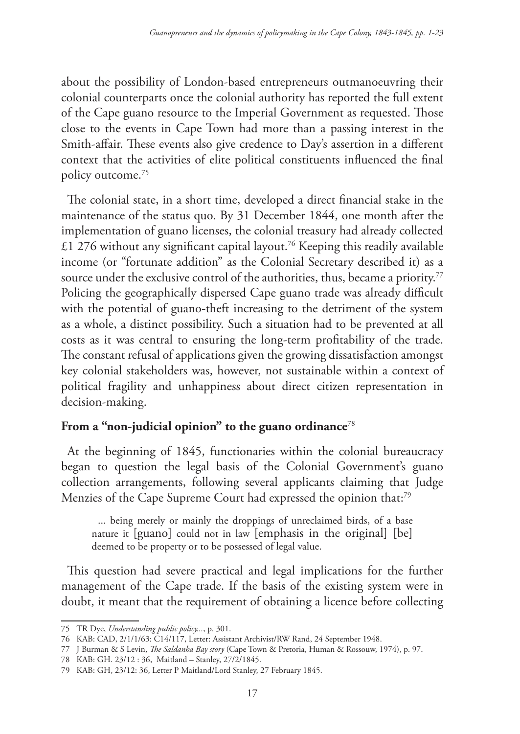about the possibility of London-based entrepreneurs outmanoeuvring their colonial counterparts once the colonial authority has reported the full extent of the Cape guano resource to the Imperial Government as requested. Those close to the events in Cape Town had more than a passing interest in the Smith-affair. These events also give credence to Day's assertion in a different context that the activities of elite political constituents influenced the final policy outcome.75

The colonial state, in a short time, developed a direct financial stake in the maintenance of the status quo. By 31 December 1844, one month after the implementation of guano licenses, the colonial treasury had already collected £1 276 without any significant capital layout.<sup>76</sup> Keeping this readily available income (or "fortunate addition" as the Colonial Secretary described it) as a source under the exclusive control of the authorities, thus, became a priority.<sup>77</sup> Policing the geographically dispersed Cape guano trade was already difficult with the potential of guano-theft increasing to the detriment of the system as a whole, a distinct possibility. Such a situation had to be prevented at all costs as it was central to ensuring the long-term profitability of the trade. The constant refusal of applications given the growing dissatisfaction amongst key colonial stakeholders was, however, not sustainable within a context of political fragility and unhappiness about direct citizen representation in decision-making.

## **From a "non-judicial opinion" to the guano ordinance**<sup>78</sup>

At the beginning of 1845, functionaries within the colonial bureaucracy began to question the legal basis of the Colonial Government's guano collection arrangements, following several applicants claiming that Judge Menzies of the Cape Supreme Court had expressed the opinion that:79

... being merely or mainly the droppings of unreclaimed birds, of a base nature it [guano] could not in law [emphasis in the original] [be] deemed to be property or to be possessed of legal value.

This question had severe practical and legal implications for the further management of the Cape trade. If the basis of the existing system were in doubt, it meant that the requirement of obtaining a licence before collecting

<sup>75</sup> TR Dye, *Understanding public policy...*, p. 301.

<sup>76</sup> KAB: CAD, 2/1/1/63: C14/117, Letter: Assistant Archivist/RW Rand, 24 September 1948.

<sup>77</sup> J Burman & S Levin, *The Saldanha Bay story* (Cape Town & Pretoria, Human & Rossouw, 1974), p. 97.

<sup>78</sup> KAB: GH. 23/12 : 36, Maitland – Stanley, 27/2/1845.

<sup>79</sup> KAB: GH, 23/12: 36, Letter P Maitland/Lord Stanley, 27 February 1845.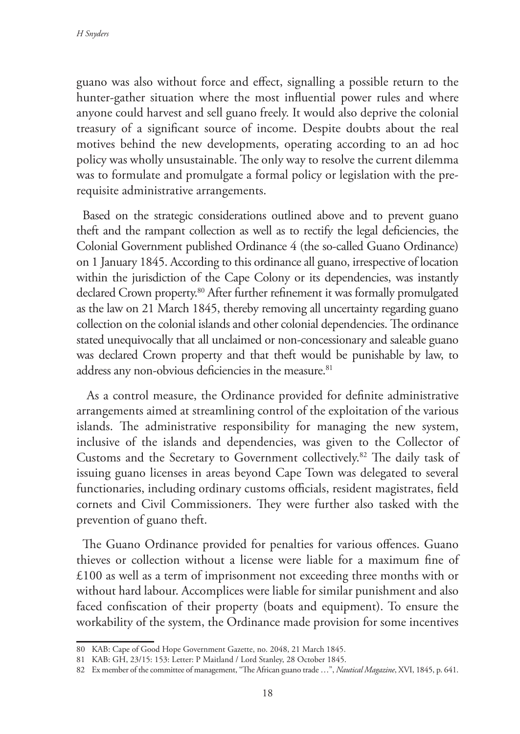guano was also without force and effect, signalling a possible return to the hunter-gather situation where the most influential power rules and where anyone could harvest and sell guano freely. It would also deprive the colonial treasury of a significant source of income. Despite doubts about the real motives behind the new developments, operating according to an ad hoc policy was wholly unsustainable. The only way to resolve the current dilemma was to formulate and promulgate a formal policy or legislation with the prerequisite administrative arrangements.

Based on the strategic considerations outlined above and to prevent guano theft and the rampant collection as well as to rectify the legal deficiencies, the Colonial Government published Ordinance 4 (the so-called Guano Ordinance) on 1 January 1845. According to this ordinance all guano, irrespective of location within the jurisdiction of the Cape Colony or its dependencies, was instantly declared Crown property.<sup>80</sup> After further refinement it was formally promulgated as the law on 21 March 1845, thereby removing all uncertainty regarding guano collection on the colonial islands and other colonial dependencies. The ordinance stated unequivocally that all unclaimed or non-concessionary and saleable guano was declared Crown property and that theft would be punishable by law, to address any non-obvious deficiencies in the measure.<sup>81</sup>

 As a control measure, the Ordinance provided for definite administrative arrangements aimed at streamlining control of the exploitation of the various islands. The administrative responsibility for managing the new system, inclusive of the islands and dependencies, was given to the Collector of Customs and the Secretary to Government collectively.82 The daily task of issuing guano licenses in areas beyond Cape Town was delegated to several functionaries, including ordinary customs officials, resident magistrates, field cornets and Civil Commissioners. They were further also tasked with the prevention of guano theft.

The Guano Ordinance provided for penalties for various offences. Guano thieves or collection without a license were liable for a maximum fine of £100 as well as a term of imprisonment not exceeding three months with or without hard labour. Accomplices were liable for similar punishment and also faced confiscation of their property (boats and equipment). To ensure the workability of the system, the Ordinance made provision for some incentives

<sup>80</sup> KAB: Cape of Good Hope Government Gazette, no. 2048, 21 March 1845.

<sup>81</sup> KAB: GH, 23/15: 153: Letter: P Maitland / Lord Stanley, 28 October 1845.

<sup>82</sup> Ex member of the committee of management, "The African guano trade …", *Nautical Magazine*, XVI, 1845, p. 641.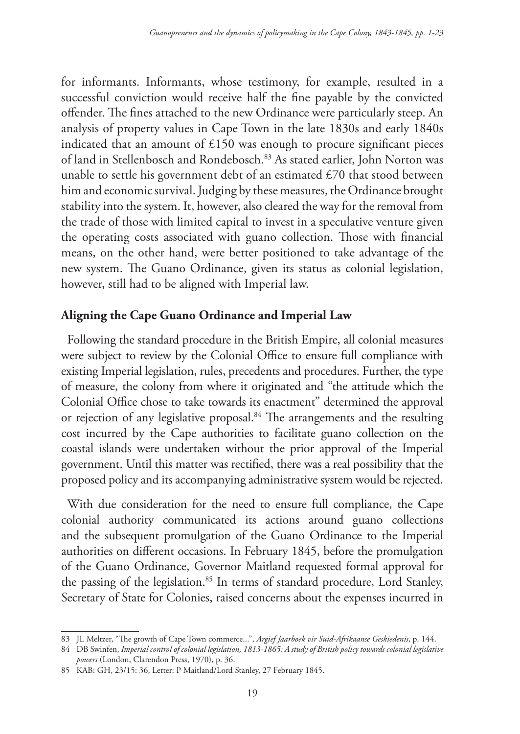for informants. Informants, whose testimony, for example, resulted in a successful conviction would receive half the fine payable by the convicted offender. The fines attached to the new Ordinance were particularly steep. An analysis of property values in Cape Town in the late 1830s and early 1840s indicated that an amount of £150 was enough to procure significant pieces of land in Stellenbosch and Rondebosch.83 As stated earlier, John Norton was unable to settle his government debt of an estimated £70 that stood between him and economic survival. Judging by these measures, the Ordinance brought stability into the system. It, however, also cleared the way for the removal from the trade of those with limited capital to invest in a speculative venture given the operating costs associated with guano collection. Those with financial means, on the other hand, were better positioned to take advantage of the new system. The Guano Ordinance, given its status as colonial legislation, however, still had to be aligned with Imperial law.

## **Aligning the Cape Guano Ordinance and Imperial Law**

Following the standard procedure in the British Empire, all colonial measures were subject to review by the Colonial Office to ensure full compliance with existing Imperial legislation, rules, precedents and procedures. Further, the type of measure, the colony from where it originated and "the attitude which the Colonial Office chose to take towards its enactment" determined the approval or rejection of any legislative proposal.84 The arrangements and the resulting cost incurred by the Cape authorities to facilitate guano collection on the coastal islands were undertaken without the prior approval of the Imperial government. Until this matter was rectified, there was a real possibility that the proposed policy and its accompanying administrative system would be rejected.

With due consideration for the need to ensure full compliance, the Cape colonial authority communicated its actions around guano collections and the subsequent promulgation of the Guano Ordinance to the Imperial authorities on different occasions. In February 1845, before the promulgation of the Guano Ordinance, Governor Maitland requested formal approval for the passing of the legislation.<sup>85</sup> In terms of standard procedure, Lord Stanley, Secretary of State for Colonies, raised concerns about the expenses incurred in

<sup>83</sup> JL Meltzer, "The growth of Cape Town commerce...", *Argief Jaarboek vir Suid-Afrikaanse Geskiedenis*, p. 144.

<sup>84</sup> DB Swinfen, *Imperial control of colonial legislation, 1813-1865: A study of British policy towards colonial legislative powers* (London, Clarendon Press, 1970), p. 36.

<sup>85</sup> KAB: GH, 23/15: 36, Letter: P Maitland/Lord Stanley, 27 February 1845.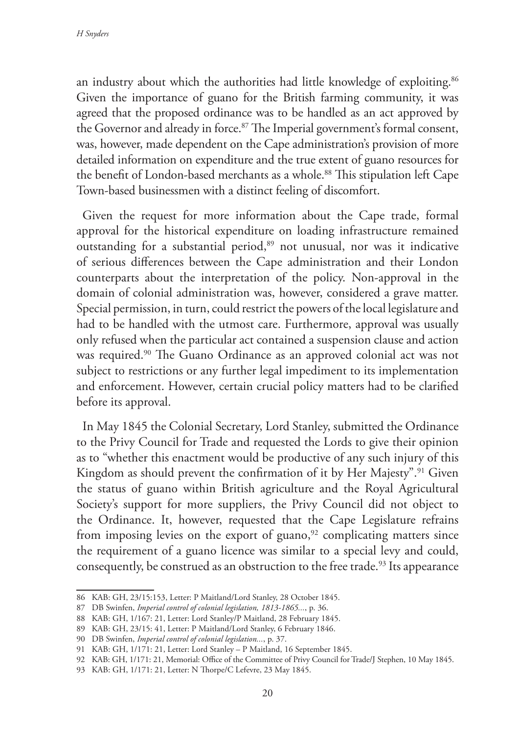an industry about which the authorities had little knowledge of exploiting.<sup>86</sup> Given the importance of guano for the British farming community, it was agreed that the proposed ordinance was to be handled as an act approved by the Governor and already in force.<sup>87</sup> The Imperial government's formal consent, was, however, made dependent on the Cape administration's provision of more detailed information on expenditure and the true extent of guano resources for the benefit of London-based merchants as a whole.<sup>88</sup> This stipulation left Cape Town-based businessmen with a distinct feeling of discomfort.

Given the request for more information about the Cape trade, formal approval for the historical expenditure on loading infrastructure remained outstanding for a substantial period,<sup>89</sup> not unusual, nor was it indicative of serious differences between the Cape administration and their London counterparts about the interpretation of the policy. Non-approval in the domain of colonial administration was, however, considered a grave matter. Special permission, in turn, could restrict the powers of the local legislature and had to be handled with the utmost care. Furthermore, approval was usually only refused when the particular act contained a suspension clause and action was required.<sup>90</sup> The Guano Ordinance as an approved colonial act was not subject to restrictions or any further legal impediment to its implementation and enforcement. However, certain crucial policy matters had to be clarified before its approval.

In May 1845 the Colonial Secretary, Lord Stanley, submitted the Ordinance to the Privy Council for Trade and requested the Lords to give their opinion as to "whether this enactment would be productive of any such injury of this Kingdom as should prevent the confirmation of it by Her Majesty".<sup>91</sup> Given the status of guano within British agriculture and the Royal Agricultural Society's support for more suppliers, the Privy Council did not object to the Ordinance. It, however, requested that the Cape Legislature refrains from imposing levies on the export of guano, $92$  complicating matters since the requirement of a guano licence was similar to a special levy and could, consequently, be construed as an obstruction to the free trade.<sup>93</sup> Its appearance

<sup>86</sup> KAB: GH, 23/15:153, Letter: P Maitland/Lord Stanley, 28 October 1845.

<sup>87</sup> DB Swinfen, *Imperial control of colonial legislation, 1813-1865...*, p. 36.

<sup>88</sup> KAB: GH, 1/167: 21, Letter: Lord Stanley/P Maitland, 28 February 1845.

<sup>89</sup> KAB: GH, 23/15: 41, Letter: P Maitland/Lord Stanley, 6 February 1846.

<sup>90</sup> DB Swinfen, *Imperial control of colonial legislation...*, p. 37.

<sup>91</sup> KAB: GH, 1/171: 21, Letter: Lord Stanley – P Maitland, 16 September 1845.

<sup>92</sup> KAB: GH, 1/171: 21, Memorial: Office of the Committee of Privy Council for Trade/J Stephen, 10 May 1845.

<sup>93</sup> KAB: GH, 1/171: 21, Letter: N Thorpe/C Lefevre, 23 May 1845.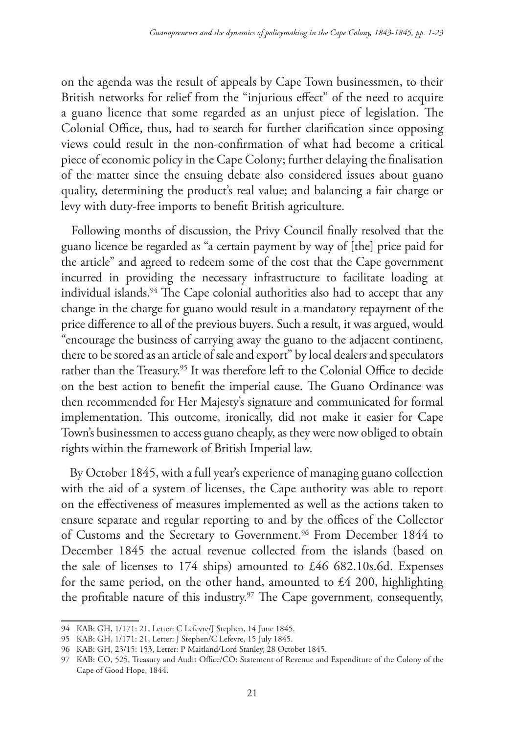on the agenda was the result of appeals by Cape Town businessmen, to their British networks for relief from the "injurious effect" of the need to acquire a guano licence that some regarded as an unjust piece of legislation. The Colonial Office, thus, had to search for further clarification since opposing views could result in the non-confirmation of what had become a critical piece of economic policy in the Cape Colony; further delaying the finalisation of the matter since the ensuing debate also considered issues about guano quality, determining the product's real value; and balancing a fair charge or levy with duty-free imports to benefit British agriculture.

 Following months of discussion, the Privy Council finally resolved that the guano licence be regarded as "a certain payment by way of [the] price paid for the article" and agreed to redeem some of the cost that the Cape government incurred in providing the necessary infrastructure to facilitate loading at individual islands.<sup>94</sup> The Cape colonial authorities also had to accept that any change in the charge for guano would result in a mandatory repayment of the price difference to all of the previous buyers. Such a result, it was argued, would "encourage the business of carrying away the guano to the adjacent continent, there to be stored as an article of sale and export" by local dealers and speculators rather than the Treasury.<sup>95</sup> It was therefore left to the Colonial Office to decide on the best action to benefit the imperial cause. The Guano Ordinance was then recommended for Her Majesty's signature and communicated for formal implementation. This outcome, ironically, did not make it easier for Cape Town's businessmen to access guano cheaply, as they were now obliged to obtain rights within the framework of British Imperial law.

 By October 1845, with a full year's experience of managing guano collection with the aid of a system of licenses, the Cape authority was able to report on the effectiveness of measures implemented as well as the actions taken to ensure separate and regular reporting to and by the offices of the Collector of Customs and the Secretary to Government.<sup>96</sup> From December 1844 to December 1845 the actual revenue collected from the islands (based on the sale of licenses to 174 ships) amounted to £46 682.10s.6d. Expenses for the same period, on the other hand, amounted to £4 200, highlighting the profitable nature of this industry.<sup>97</sup> The Cape government, consequently,

<sup>94</sup> KAB: GH, 1/171: 21, Letter: C Lefevre/J Stephen, 14 June 1845.

<sup>95</sup> KAB: GH, 1/171: 21, Letter: J Stephen/C Lefevre, 15 July 1845.

<sup>96</sup> KAB: GH, 23/15: 153, Letter: P Maitland/Lord Stanley, 28 October 1845.

<sup>97</sup> KAB: CO, 525, Treasury and Audit Office/CO: Statement of Revenue and Expenditure of the Colony of the Cape of Good Hope, 1844.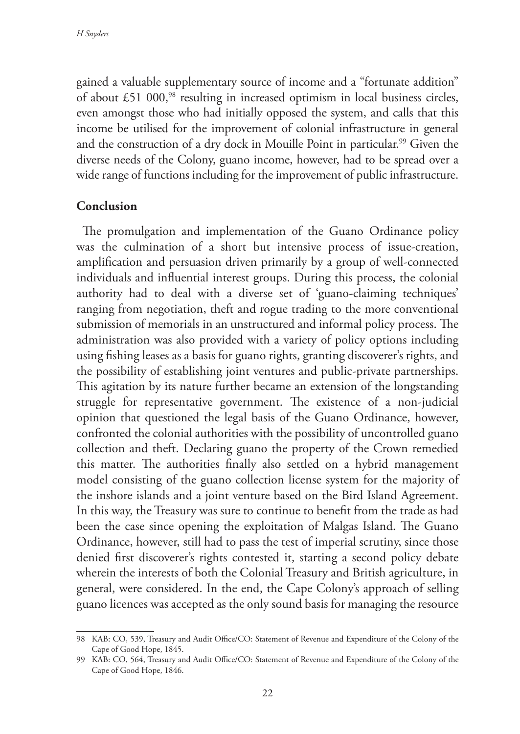gained a valuable supplementary source of income and a "fortunate addition" of about  $£51\,000$ ,<sup>98</sup> resulting in increased optimism in local business circles, even amongst those who had initially opposed the system, and calls that this income be utilised for the improvement of colonial infrastructure in general and the construction of a dry dock in Mouille Point in particular.<sup>99</sup> Given the diverse needs of the Colony, guano income, however, had to be spread over a wide range of functions including for the improvement of public infrastructure.

## **Conclusion**

The promulgation and implementation of the Guano Ordinance policy was the culmination of a short but intensive process of issue-creation, amplification and persuasion driven primarily by a group of well-connected individuals and influential interest groups. During this process, the colonial authority had to deal with a diverse set of 'guano-claiming techniques' ranging from negotiation, theft and rogue trading to the more conventional submission of memorials in an unstructured and informal policy process. The administration was also provided with a variety of policy options including using fishing leases as a basis for guano rights, granting discoverer's rights, and the possibility of establishing joint ventures and public-private partnerships. This agitation by its nature further became an extension of the longstanding struggle for representative government. The existence of a non-judicial opinion that questioned the legal basis of the Guano Ordinance, however, confronted the colonial authorities with the possibility of uncontrolled guano collection and theft. Declaring guano the property of the Crown remedied this matter. The authorities finally also settled on a hybrid management model consisting of the guano collection license system for the majority of the inshore islands and a joint venture based on the Bird Island Agreement. In this way, the Treasury was sure to continue to benefit from the trade as had been the case since opening the exploitation of Malgas Island. The Guano Ordinance, however, still had to pass the test of imperial scrutiny, since those denied first discoverer's rights contested it, starting a second policy debate wherein the interests of both the Colonial Treasury and British agriculture, in general, were considered. In the end, the Cape Colony's approach of selling guano licences was accepted as the only sound basis for managing the resource

<sup>98</sup> KAB: CO, 539, Treasury and Audit Office/CO: Statement of Revenue and Expenditure of the Colony of the Cape of Good Hope, 1845.

<sup>99</sup> KAB: CO, 564, Treasury and Audit Office/CO: Statement of Revenue and Expenditure of the Colony of the Cape of Good Hope, 1846.